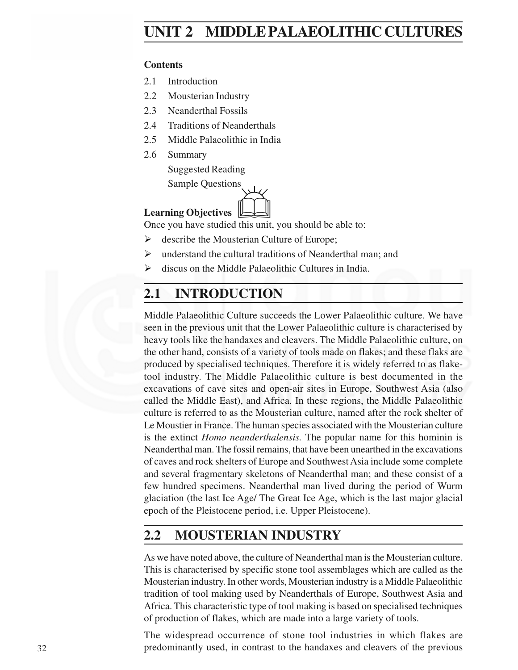# **Palaeolithic Cultures UNIT 2 MIDDLE PALAEOLITHIC CULTURES**

## **Contents**

- 2.1 Introduction
- 2.2 Mousterian Industry
- 2.3 Neanderthal Fossils
- 2.4 Traditions of Neanderthals
- 2.5 Middle Palaeolithic in India
- 2.6 Summary
	- Suggested Reading

Sample Questions

## **Learning Objectives** &

Once you have studied this unit, you should be able to:

- $\triangleright$  describe the Mousterian Culture of Europe;
- $\triangleright$  understand the cultural traditions of Neanderthal man; and
- $\triangleright$  discus on the Middle Palaeolithic Cultures in India.

# **2.1 INTRODUCTION**

Middle Palaeolithic Culture succeeds the Lower Palaeolithic culture. We have seen in the previous unit that the Lower Palaeolithic culture is characterised by heavy tools like the handaxes and cleavers. The Middle Palaeolithic culture, on the other hand, consists of a variety of tools made on flakes; and these flaks are produced by specialised techniques. Therefore it is widely referred to as flaketool industry. The Middle Palaeolithic culture is best documented in the excavations of cave sites and open-air sites in Europe, Southwest Asia (also called the Middle East), and Africa. In these regions, the Middle Palaeolithic culture is referred to as the Mousterian culture, named after the rock shelter of Le Moustier in France. The human species associated with the Mousterian culture is the extinct *Homo neanderthalensis.* The popular name for this hominin is Neanderthal man. The fossil remains, that have been unearthed in the excavations of caves and rock shelters of Europe and Southwest Asia include some complete and several fragmentary skeletons of Neanderthal man; and these consist of a few hundred specimens. Neanderthal man lived during the period of Wurm glaciation (the last Ice Age/ The Great Ice Age, which is the last major glacial epoch of the Pleistocene period, i.e. Upper Pleistocene).

# **2.2 MOUSTERIAN INDUSTRY**

As we have noted above, the culture of Neanderthal man is the Mousterian culture. This is characterised by specific stone tool assemblages which are called as the Mousterian industry. In other words, Mousterian industry is a Middle Palaeolithic tradition of tool making used by Neanderthals of Europe, Southwest Asia and Africa. This characteristic type of tool making is based on specialised techniques of production of flakes, which are made into a large variety of tools.

The widespread occurrence of stone tool industries in which flakes are predominantly used, in contrast to the handaxes and cleavers of the previous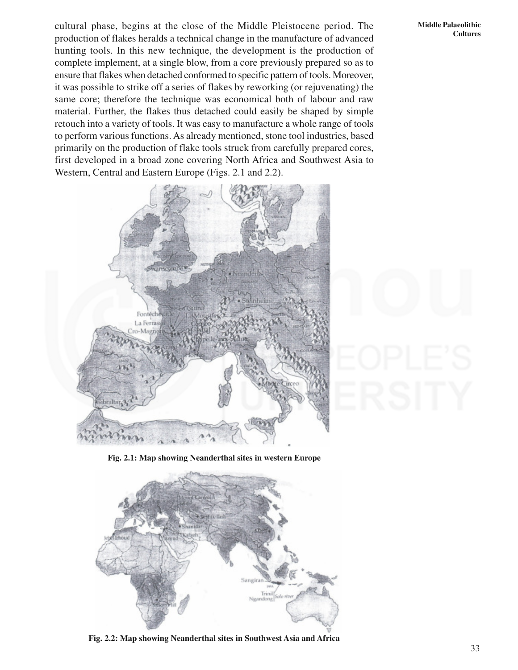cultural phase, begins at the close of the Middle Pleistocene period. The production of flakes heralds a technical change in the manufacture of advanced hunting tools. In this new technique, the development is the production of complete implement, at a single blow, from a core previously prepared so as to ensure that flakes when detached conformed to specific pattern of tools. Moreover, it was possible to strike off a series of flakes by reworking (or rejuvenating) the same core; therefore the technique was economical both of labour and raw material. Further, the flakes thus detached could easily be shaped by simple retouch into a variety of tools. It was easy to manufacture a whole range of tools to perform various functions. As already mentioned, stone tool industries, based primarily on the production of flake tools struck from carefully prepared cores, first developed in a broad zone covering North Africa and Southwest Asia to Western, Central and Eastern Europe (Figs. 2.1 and 2.2).



**Fig. 2.1: Map showing Neanderthal sites in western Europe**



**Fig. 2.2: Map showing Neanderthal sites in Southwest Asia and Africa**

#### **Middle Palaeolithic Cultures**

33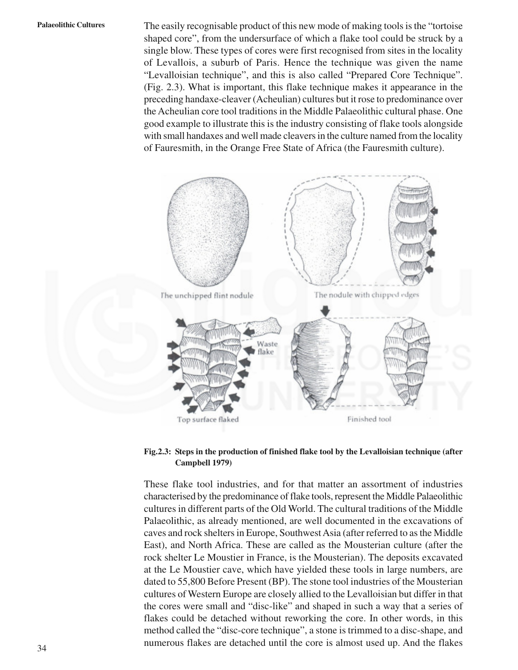**Palaeolithic Cultures** The easily recognisable product of this new mode of making tools is the "tortoise shaped core", from the undersurface of which a flake tool could be struck by a single blow. These types of cores were first recognised from sites in the locality of Levallois, a suburb of Paris. Hence the technique was given the name "Levalloisian technique", and this is also called "Prepared Core Technique". (Fig. 2.3). What is important, this flake technique makes it appearance in the preceding handaxe-cleaver (Acheulian) cultures but it rose to predominance over the Acheulian core tool traditions in the Middle Palaeolithic cultural phase. One good example to illustrate this is the industry consisting of flake tools alongside with small handaxes and well made cleavers in the culture named from the locality of Fauresmith, in the Orange Free State of Africa (the Fauresmith culture).



### **Fig.2.3: Steps in the production of finished flake tool by the Levalloisian technique (after Campbell 1979)**

These flake tool industries, and for that matter an assortment of industries characterised by the predominance of flake tools, represent the Middle Palaeolithic cultures in different parts of the Old World. The cultural traditions of the Middle Palaeolithic, as already mentioned, are well documented in the excavations of caves and rock shelters in Europe, Southwest Asia (after referred to as the Middle East), and North Africa. These are called as the Mousterian culture (after the rock shelter Le Moustier in France, is the Mousterian). The deposits excavated at the Le Moustier cave, which have yielded these tools in large numbers, are dated to 55,800 Before Present (BP). The stone tool industries of the Mousterian cultures of Western Europe are closely allied to the Levalloisian but differ in that the cores were small and "disc-like" and shaped in such a way that a series of flakes could be detached without reworking the core. In other words, in this method called the "disc-core technique", a stone is trimmed to a disc-shape, and numerous flakes are detached until the core is almost used up. And the flakes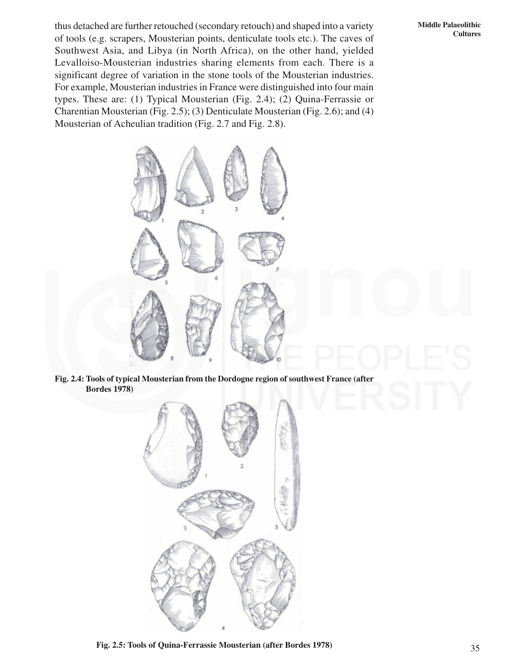thus detached are further retouched (secondary retouch) and shaped into a variety of tools (e.g. scrapers, Mousterian points, denticulate tools etc.). The caves of Southwest Asia, and Libya (in North Africa), on the other hand, yielded Levalloiso-Mousterian industries sharing elements from each. There is a significant degree of variation in the stone tools of the Mousterian industries. For example, Mousterian industries in France were distinguished into four main types. These are: (1) Typical Mousterian (Fig. 2.4); (2) Quina-Ferrassie or Charentian Mousterian (Fig. 2.5); (3) Denticulate Mousterian (Fig. 2.6); and (4) Mousterian of Acheulian tradition (Fig. 2.7 and Fig. 2.8).

**Middle Palaeolithic Cultures**



**Fig. 2.4: Tools of typical Mousterian from the Dordogne region of southwest France (after Bordes 1978)**



**Fig. 2.5: Tools of Quina-Ferrassie Mousterian (after Bordes 1978)**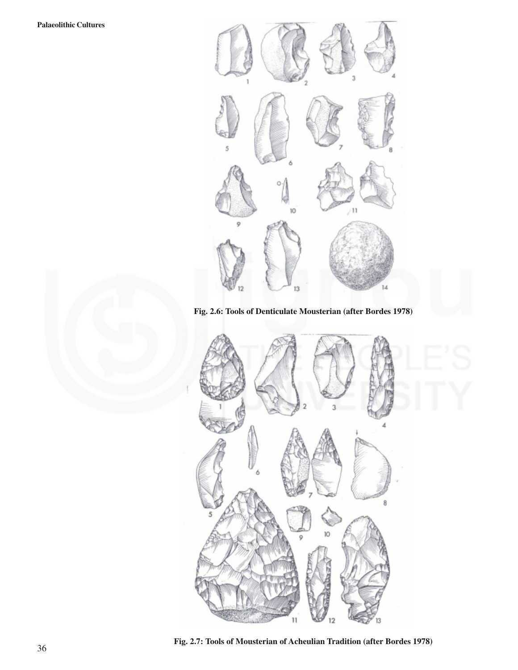

**Fig. 2.6: Tools of Denticulate Mousterian (after Bordes 1978)**



**Fig. 2.7: Tools of Mousterian of Acheulian Tradition (after Bordes 1978)**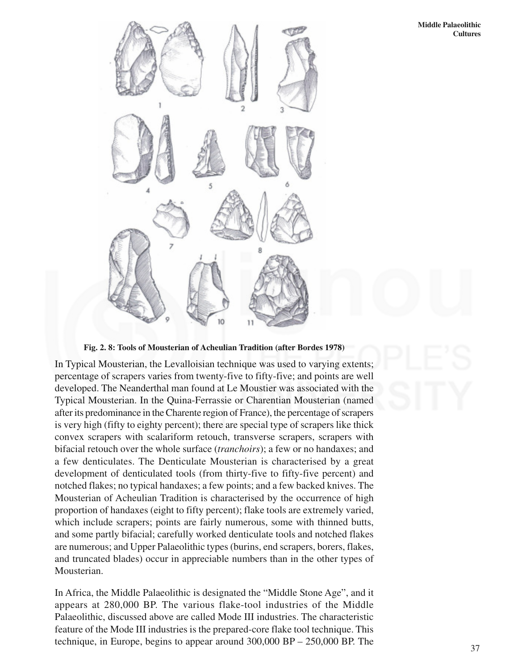

**Fig. 2. 8: Tools of Mousterian of Acheulian Tradition (after Bordes 1978)**

In Typical Mousterian, the Levalloisian technique was used to varying extents; percentage of scrapers varies from twenty-five to fifty-five; and points are well developed. The Neanderthal man found at Le Moustier was associated with the Typical Mousterian. In the Quina-Ferrassie or Charentian Mousterian (named after its predominance in the Charente region of France), the percentage of scrapers is very high (fifty to eighty percent); there are special type of scrapers like thick convex scrapers with scalariform retouch, transverse scrapers, scrapers with bifacial retouch over the whole surface (*tranchoirs*); a few or no handaxes; and a few denticulates. The Denticulate Mousterian is characterised by a great development of denticulated tools (from thirty-five to fifty-five percent) and notched flakes; no typical handaxes; a few points; and a few backed knives. The Mousterian of Acheulian Tradition is characterised by the occurrence of high proportion of handaxes (eight to fifty percent); flake tools are extremely varied, which include scrapers; points are fairly numerous, some with thinned butts, and some partly bifacial; carefully worked denticulate tools and notched flakes are numerous; and Upper Palaeolithic types (burins, end scrapers, borers, flakes, and truncated blades) occur in appreciable numbers than in the other types of Mousterian.

In Africa, the Middle Palaeolithic is designated the "Middle Stone Age", and it appears at 280,000 BP. The various flake-tool industries of the Middle Palaeolithic, discussed above are called Mode III industries. The characteristic feature of the Mode III industries is the prepared-core flake tool technique. This technique, in Europe, begins to appear around 300,000 BP – 250,000 BP. The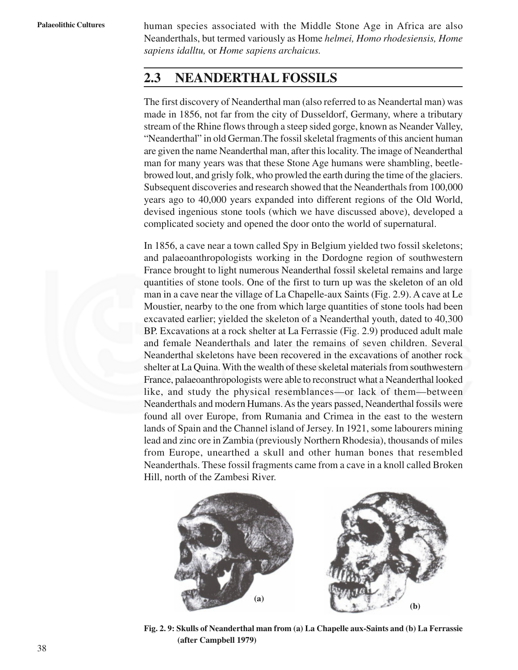**Palaeolithic Cultures** human species associated with the Middle Stone Age in Africa are also Neanderthals, but termed variously as Home *helmei, Homo rhodesiensis, Home sapiens idalltu,* or *Home sapiens archaicus.*

## **2.3 NEANDERTHAL FOSSILS**

The first discovery of Neanderthal man (also referred to as Neandertal man) was made in 1856, not far from the city of Dusseldorf, Germany, where a tributary stream of the Rhine flows through a steep sided gorge, known as Neander Valley, "Neanderthal" in old German.The fossil skeletal fragments of this ancient human are given the name Neanderthal man, after this locality. The image of Neanderthal man for many years was that these Stone Age humans were shambling, beetlebrowed lout, and grisly folk, who prowled the earth during the time of the glaciers. Subsequent discoveries and research showed that the Neanderthals from 100,000 years ago to 40,000 years expanded into different regions of the Old World, devised ingenious stone tools (which we have discussed above), developed a complicated society and opened the door onto the world of supernatural.

In 1856, a cave near a town called Spy in Belgium yielded two fossil skeletons; and palaeoanthropologists working in the Dordogne region of southwestern France brought to light numerous Neanderthal fossil skeletal remains and large quantities of stone tools. One of the first to turn up was the skeleton of an old man in a cave near the village of La Chapelle-aux Saints (Fig. 2.9). A cave at Le Moustier, nearby to the one from which large quantities of stone tools had been excavated earlier; yielded the skeleton of a Neanderthal youth, dated to 40,300 BP. Excavations at a rock shelter at La Ferrassie (Fig. 2.9) produced adult male and female Neanderthals and later the remains of seven children. Several Neanderthal skeletons have been recovered in the excavations of another rock shelter at La Quina. With the wealth of these skeletal materials from southwestern France, palaeoanthropologists were able to reconstruct what a Neanderthal looked like, and study the physical resemblances—or lack of them—between Neanderthals and modern Humans. As the years passed, Neanderthal fossils were found all over Europe, from Rumania and Crimea in the east to the western lands of Spain and the Channel island of Jersey. In 1921, some labourers mining lead and zinc ore in Zambia (previously Northern Rhodesia), thousands of miles from Europe, unearthed a skull and other human bones that resembled Neanderthals. These fossil fragments came from a cave in a knoll called Broken Hill, north of the Zambesi River.



**Fig. 2. 9: Skulls of Neanderthal man from (a) La Chapelle aux-Saints and (b) La Ferrassie (after Campbell 1979)**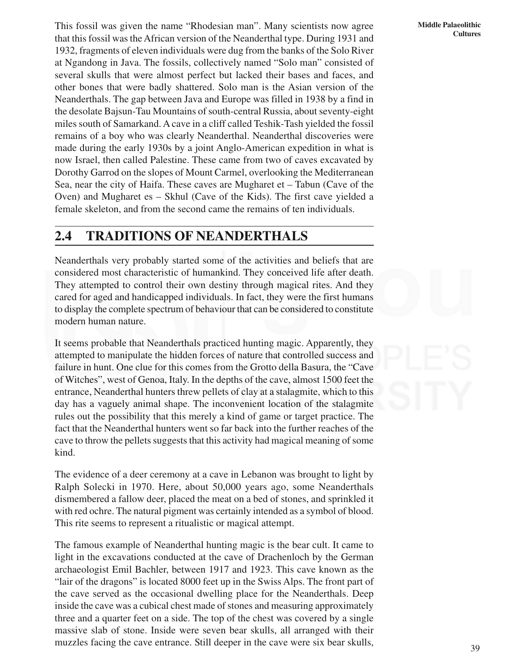**Middle Palaeolithic Cultures**

This fossil was given the name "Rhodesian man". Many scientists now agree that this fossil was the African version of the Neanderthal type. During 1931 and 1932, fragments of eleven individuals were dug from the banks of the Solo River at Ngandong in Java. The fossils, collectively named "Solo man" consisted of several skulls that were almost perfect but lacked their bases and faces, and other bones that were badly shattered. Solo man is the Asian version of the Neanderthals. The gap between Java and Europe was filled in 1938 by a find in the desolate Bajsun-Tau Mountains of south-central Russia, about seventy-eight miles south of Samarkand. A cave in a cliff called Teshik-Tash yielded the fossil remains of a boy who was clearly Neanderthal. Neanderthal discoveries were made during the early 1930s by a joint Anglo-American expedition in what is now Israel, then called Palestine. These came from two of caves excavated by Dorothy Garrod on the slopes of Mount Carmel, overlooking the Mediterranean Sea, near the city of Haifa. These caves are Mugharet et – Tabun (Cave of the Oven) and Mugharet es – Skhul (Cave of the Kids). The first cave yielded a female skeleton, and from the second came the remains of ten individuals.

## **2.4 TRADITIONS OF NEANDERTHALS**

Neanderthals very probably started some of the activities and beliefs that are considered most characteristic of humankind. They conceived life after death. They attempted to control their own destiny through magical rites. And they cared for aged and handicapped individuals. In fact, they were the first humans to display the complete spectrum of behaviour that can be considered to constitute modern human nature.

It seems probable that Neanderthals practiced hunting magic. Apparently, they attempted to manipulate the hidden forces of nature that controlled success and failure in hunt. One clue for this comes from the Grotto della Basura, the "Cave of Witches", west of Genoa, Italy. In the depths of the cave, almost 1500 feet the entrance, Neanderthal hunters threw pellets of clay at a stalagmite, which to this day has a vaguely animal shape. The inconvenient location of the stalagmite rules out the possibility that this merely a kind of game or target practice. The fact that the Neanderthal hunters went so far back into the further reaches of the cave to throw the pellets suggests that this activity had magical meaning of some kind.

The evidence of a deer ceremony at a cave in Lebanon was brought to light by Ralph Solecki in 1970. Here, about 50,000 years ago, some Neanderthals dismembered a fallow deer, placed the meat on a bed of stones, and sprinkled it with red ochre. The natural pigment was certainly intended as a symbol of blood. This rite seems to represent a ritualistic or magical attempt.

The famous example of Neanderthal hunting magic is the bear cult. It came to light in the excavations conducted at the cave of Drachenloch by the German archaeologist Emil Bachler, between 1917 and 1923. This cave known as the "lair of the dragons" is located 8000 feet up in the Swiss Alps. The front part of the cave served as the occasional dwelling place for the Neanderthals. Deep inside the cave was a cubical chest made of stones and measuring approximately three and a quarter feet on a side. The top of the chest was covered by a single massive slab of stone. Inside were seven bear skulls, all arranged with their muzzles facing the cave entrance. Still deeper in the cave were six bear skulls,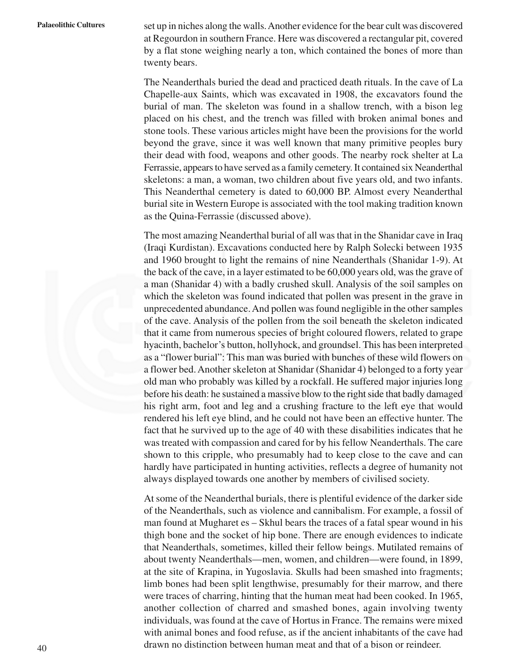**Palaeolithic Cultures** set up in niches along the walls. Another evidence for the bear cult was discovered at Regourdon in southern France. Here was discovered a rectangular pit, covered by a flat stone weighing nearly a ton, which contained the bones of more than twenty bears.

> The Neanderthals buried the dead and practiced death rituals. In the cave of La Chapelle-aux Saints, which was excavated in 1908, the excavators found the burial of man. The skeleton was found in a shallow trench, with a bison leg placed on his chest, and the trench was filled with broken animal bones and stone tools. These various articles might have been the provisions for the world beyond the grave, since it was well known that many primitive peoples bury their dead with food, weapons and other goods. The nearby rock shelter at La Ferrassie, appears to have served as a family cemetery. It contained six Neanderthal skeletons: a man, a woman, two children about five years old, and two infants. This Neanderthal cemetery is dated to 60,000 BP. Almost every Neanderthal burial site in Western Europe is associated with the tool making tradition known as the Quina-Ferrassie (discussed above).

> The most amazing Neanderthal burial of all was that in the Shanidar cave in Iraq (Iraqi Kurdistan). Excavations conducted here by Ralph Solecki between 1935 and 1960 brought to light the remains of nine Neanderthals (Shanidar 1-9). At the back of the cave, in a layer estimated to be 60,000 years old, was the grave of a man (Shanidar 4) with a badly crushed skull. Analysis of the soil samples on which the skeleton was found indicated that pollen was present in the grave in unprecedented abundance. And pollen was found negligible in the other samples of the cave. Analysis of the pollen from the soil beneath the skeleton indicated that it came from numerous species of bright coloured flowers, related to grape hyacinth, bachelor's button, hollyhock, and groundsel. This has been interpreted as a "flower burial": This man was buried with bunches of these wild flowers on a flower bed. Another skeleton at Shanidar (Shanidar 4) belonged to a forty year old man who probably was killed by a rockfall. He suffered major injuries long before his death: he sustained a massive blow to the right side that badly damaged his right arm, foot and leg and a crushing fracture to the left eye that would rendered his left eye blind, and he could not have been an effective hunter. The fact that he survived up to the age of 40 with these disabilities indicates that he was treated with compassion and cared for by his fellow Neanderthals. The care shown to this cripple, who presumably had to keep close to the cave and can hardly have participated in hunting activities, reflects a degree of humanity not always displayed towards one another by members of civilised society.

> At some of the Neanderthal burials, there is plentiful evidence of the darker side of the Neanderthals, such as violence and cannibalism. For example, a fossil of man found at Mugharet es – Skhul bears the traces of a fatal spear wound in his thigh bone and the socket of hip bone. There are enough evidences to indicate that Neanderthals, sometimes, killed their fellow beings. Mutilated remains of about twenty Neanderthals—men, women, and children—were found, in 1899, at the site of Krapina, in Yugoslavia. Skulls had been smashed into fragments; limb bones had been split lengthwise, presumably for their marrow, and there were traces of charring, hinting that the human meat had been cooked. In 1965, another collection of charred and smashed bones, again involving twenty individuals, was found at the cave of Hortus in France. The remains were mixed with animal bones and food refuse, as if the ancient inhabitants of the cave had drawn no distinction between human meat and that of a bison or reindeer.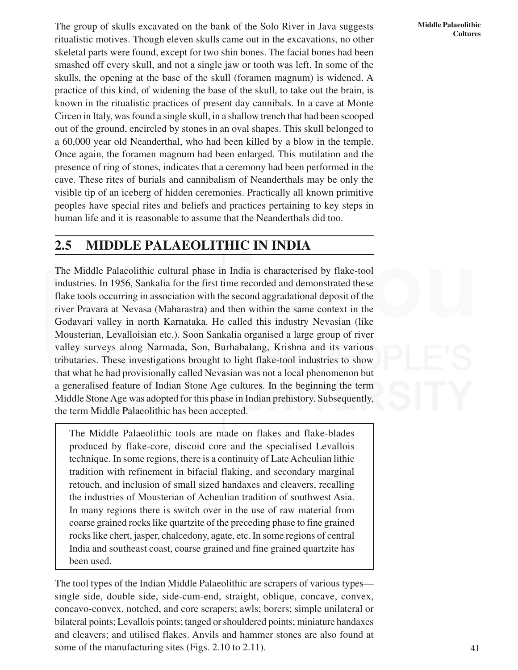**Middle Palaeolithic Cultures**

The group of skulls excavated on the bank of the Solo River in Java suggests ritualistic motives. Though eleven skulls came out in the excavations, no other skeletal parts were found, except for two shin bones. The facial bones had been smashed off every skull, and not a single jaw or tooth was left. In some of the skulls, the opening at the base of the skull (foramen magnum) is widened. A practice of this kind, of widening the base of the skull, to take out the brain, is known in the ritualistic practices of present day cannibals. In a cave at Monte Circeo in Italy, was found a single skull, in a shallow trench that had been scooped out of the ground, encircled by stones in an oval shapes. This skull belonged to a 60,000 year old Neanderthal, who had been killed by a blow in the temple. Once again, the foramen magnum had been enlarged. This mutilation and the presence of ring of stones, indicates that a ceremony had been performed in the cave. These rites of burials and cannibalism of Neanderthals may be only the visible tip of an iceberg of hidden ceremonies. Practically all known primitive peoples have special rites and beliefs and practices pertaining to key steps in human life and it is reasonable to assume that the Neanderthals did too.

## **2.5 MIDDLE PALAEOLITHIC IN INDIA**

The Middle Palaeolithic cultural phase in India is characterised by flake-tool industries. In 1956, Sankalia for the first time recorded and demonstrated these flake tools occurring in association with the second aggradational deposit of the river Pravara at Nevasa (Maharastra) and then within the same context in the Godavari valley in north Karnataka. He called this industry Nevasian (like Mousterian, Levalloisian etc.). Soon Sankalia organised a large group of river valley surveys along Narmada, Son, Burhabalang, Krishna and its various tributaries. These investigations brought to light flake-tool industries to show that what he had provisionally called Nevasian was not a local phenomenon but a generalised feature of Indian Stone Age cultures. In the beginning the term Middle Stone Age was adopted for this phase in Indian prehistory. Subsequently, the term Middle Palaeolithic has been accepted.

The Middle Palaeolithic tools are made on flakes and flake-blades produced by flake-core, discoid core and the specialised Levallois technique. In some regions, there is a continuity of Late Acheulian lithic tradition with refinement in bifacial flaking, and secondary marginal retouch, and inclusion of small sized handaxes and cleavers, recalling the industries of Mousterian of Acheulian tradition of southwest Asia. In many regions there is switch over in the use of raw material from coarse grained rocks like quartzite of the preceding phase to fine grained rocks like chert, jasper, chalcedony, agate, etc. In some regions of central India and southeast coast, coarse grained and fine grained quartzite has been used.

The tool types of the Indian Middle Palaeolithic are scrapers of various types single side, double side, side-cum-end, straight, oblique, concave, convex, concavo-convex, notched, and core scrapers; awls; borers; simple unilateral or bilateral points; Levallois points; tanged or shouldered points; miniature handaxes and cleavers; and utilised flakes. Anvils and hammer stones are also found at some of the manufacturing sites (Figs. 2.10 to 2.11).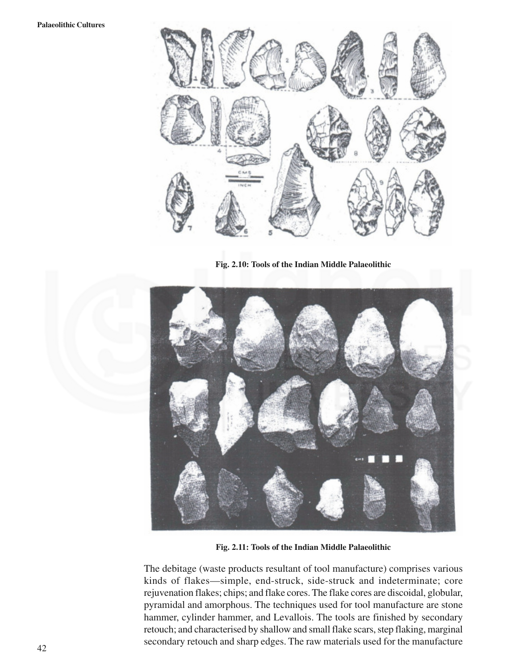

**Fig. 2.10: Tools of the Indian Middle Palaeolithic**



**Fig. 2.11: Tools of the Indian Middle Palaeolithic**

The debitage (waste products resultant of tool manufacture) comprises various kinds of flakes—simple, end-struck, side-struck and indeterminate; core rejuvenation flakes; chips; and flake cores. The flake cores are discoidal, globular, pyramidal and amorphous. The techniques used for tool manufacture are stone hammer, cylinder hammer, and Levallois. The tools are finished by secondary retouch; and characterised by shallow and small flake scars, step flaking, marginal secondary retouch and sharp edges. The raw materials used for the manufacture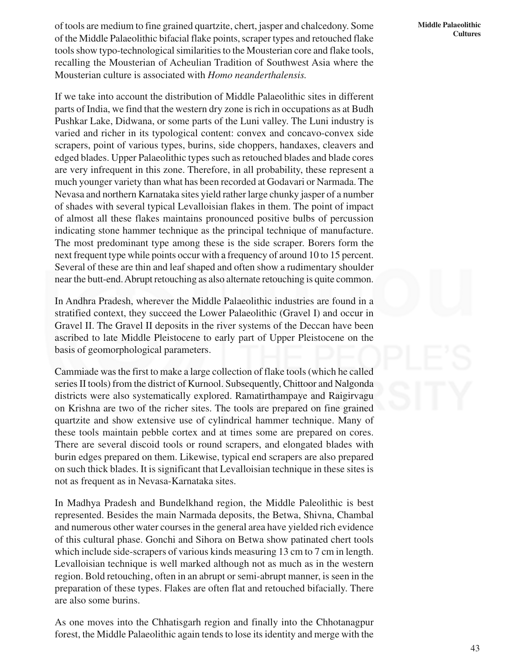of tools are medium to fine grained quartzite, chert, jasper and chalcedony. Some of the Middle Palaeolithic bifacial flake points, scraper types and retouched flake tools show typo-technological similarities to the Mousterian core and flake tools, recalling the Mousterian of Acheulian Tradition of Southwest Asia where the Mousterian culture is associated with *Homo neanderthalensis.*

If we take into account the distribution of Middle Palaeolithic sites in different parts of India, we find that the western dry zone is rich in occupations as at Budh Pushkar Lake, Didwana, or some parts of the Luni valley. The Luni industry is varied and richer in its typological content: convex and concavo-convex side scrapers, point of various types, burins, side choppers, handaxes, cleavers and edged blades. Upper Palaeolithic types such as retouched blades and blade cores are very infrequent in this zone. Therefore, in all probability, these represent a much younger variety than what has been recorded at Godavari or Narmada. The Nevasa and northern Karnataka sites yield rather large chunky jasper of a number of shades with several typical Levalloisian flakes in them. The point of impact of almost all these flakes maintains pronounced positive bulbs of percussion indicating stone hammer technique as the principal technique of manufacture. The most predominant type among these is the side scraper. Borers form the next frequent type while points occur with a frequency of around 10 to 15 percent. Several of these are thin and leaf shaped and often show a rudimentary shoulder near the butt-end. Abrupt retouching as also alternate retouching is quite common.

In Andhra Pradesh, wherever the Middle Palaeolithic industries are found in a stratified context, they succeed the Lower Palaeolithic (Gravel I) and occur in Gravel II. The Gravel II deposits in the river systems of the Deccan have been ascribed to late Middle Pleistocene to early part of Upper Pleistocene on the basis of geomorphological parameters.

Cammiade was the first to make a large collection of flake tools (which he called series II tools) from the district of Kurnool. Subsequently, Chittoor and Nalgonda districts were also systematically explored. Ramatirthampaye and Raigirvagu on Krishna are two of the richer sites. The tools are prepared on fine grained quartzite and show extensive use of cylindrical hammer technique. Many of these tools maintain pebble cortex and at times some are prepared on cores. There are several discoid tools or round scrapers, and elongated blades with burin edges prepared on them. Likewise, typical end scrapers are also prepared on such thick blades. It is significant that Levalloisian technique in these sites is not as frequent as in Nevasa-Karnataka sites.

In Madhya Pradesh and Bundelkhand region, the Middle Paleolithic is best represented. Besides the main Narmada deposits, the Betwa, Shivna, Chambal and numerous other water courses in the general area have yielded rich evidence of this cultural phase. Gonchi and Sihora on Betwa show patinated chert tools which include side-scrapers of various kinds measuring 13 cm to 7 cm in length. Levalloisian technique is well marked although not as much as in the western region. Bold retouching, often in an abrupt or semi-abrupt manner, is seen in the preparation of these types. Flakes are often flat and retouched bifacially. There are also some burins.

As one moves into the Chhatisgarh region and finally into the Chhotanagpur forest, the Middle Palaeolithic again tends to lose its identity and merge with the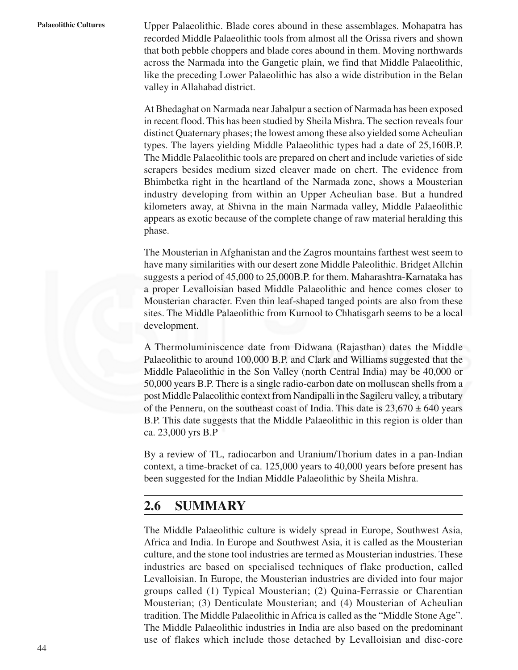**Palaeolithic Cultures** Upper Palaeolithic. Blade cores abound in these assemblages. Mohapatra has recorded Middle Palaeolithic tools from almost all the Orissa rivers and shown that both pebble choppers and blade cores abound in them. Moving northwards across the Narmada into the Gangetic plain, we find that Middle Palaeolithic, like the preceding Lower Palaeolithic has also a wide distribution in the Belan valley in Allahabad district.

> At Bhedaghat on Narmada near Jabalpur a section of Narmada has been exposed in recent flood. This has been studied by Sheila Mishra. The section reveals four distinct Quaternary phases; the lowest among these also yielded some Acheulian types. The layers yielding Middle Palaeolithic types had a date of 25,160B.P. The Middle Palaeolithic tools are prepared on chert and include varieties of side scrapers besides medium sized cleaver made on chert. The evidence from Bhimbetka right in the heartland of the Narmada zone, shows a Mousterian industry developing from within an Upper Acheulian base. But a hundred kilometers away, at Shivna in the main Narmada valley, Middle Palaeolithic appears as exotic because of the complete change of raw material heralding this phase.

> The Mousterian in Afghanistan and the Zagros mountains farthest west seem to have many similarities with our desert zone Middle Paleolithic. Bridget Allchin suggests a period of 45,000 to 25,000B.P. for them. Maharashtra-Karnataka has a proper Levalloisian based Middle Palaeolithic and hence comes closer to Mousterian character. Even thin leaf-shaped tanged points are also from these sites. The Middle Palaeolithic from Kurnool to Chhatisgarh seems to be a local development.

> A Thermoluminiscence date from Didwana (Rajasthan) dates the Middle Palaeolithic to around 100,000 B.P. and Clark and Williams suggested that the Middle Palaeolithic in the Son Valley (north Central India) may be 40,000 or 50,000 years B.P. There is a single radio-carbon date on molluscan shells from a post Middle Palaeolithic context from Nandipalli in the Sagileru valley, a tributary of the Penneru, on the southeast coast of India. This date is  $23,670 \pm 640$  years B.P. This date suggests that the Middle Palaeolithic in this region is older than ca. 23,000 yrs B.P

> By a review of TL, radiocarbon and Uranium/Thorium dates in a pan-Indian context, a time-bracket of ca. 125,000 years to 40,000 years before present has been suggested for the Indian Middle Palaeolithic by Sheila Mishra.

## **2.6 SUMMARY**

The Middle Palaeolithic culture is widely spread in Europe, Southwest Asia, Africa and India. In Europe and Southwest Asia, it is called as the Mousterian culture, and the stone tool industries are termed as Mousterian industries. These industries are based on specialised techniques of flake production, called Levalloisian. In Europe, the Mousterian industries are divided into four major groups called (1) Typical Mousterian; (2) Quina-Ferrassie or Charentian Mousterian; (3) Denticulate Mousterian; and (4) Mousterian of Acheulian tradition. The Middle Palaeolithic in Africa is called as the "Middle Stone Age". The Middle Palaeolithic industries in India are also based on the predominant use of flakes which include those detached by Levalloisian and disc-core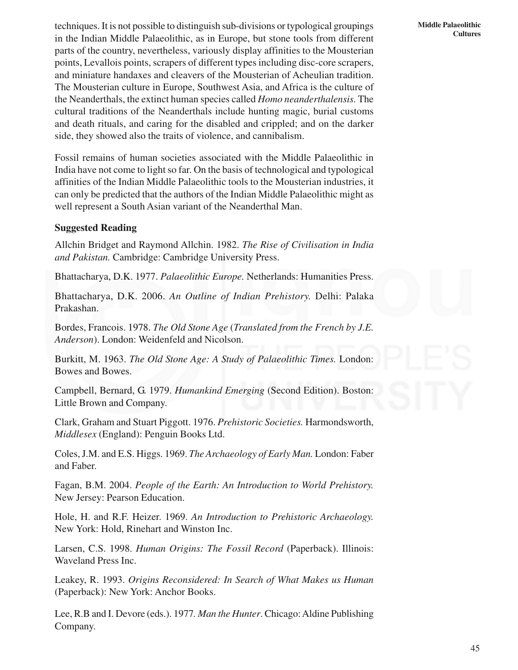techniques. It is not possible to distinguish sub-divisions or typological groupings in the Indian Middle Palaeolithic, as in Europe, but stone tools from different parts of the country, nevertheless, variously display affinities to the Mousterian points, Levallois points, scrapers of different types including disc-core scrapers, and miniature handaxes and cleavers of the Mousterian of Acheulian tradition. The Mousterian culture in Europe, Southwest Asia, and Africa is the culture of the Neanderthals, the extinct human species called *Homo neanderthalensis.* The cultural traditions of the Neanderthals include hunting magic, burial customs and death rituals, and caring for the disabled and crippled; and on the darker side, they showed also the traits of violence, and cannibalism.

Fossil remains of human societies associated with the Middle Palaeolithic in India have not come to light so far. On the basis of technological and typological affinities of the Indian Middle Palaeolithic tools to the Mousterian industries, it can only be predicted that the authors of the Indian Middle Palaeolithic might as well represent a South Asian variant of the Neanderthal Man.

## **Suggested Reading**

Allchin Bridget and Raymond Allchin. 1982. *The Rise of Civilisation in India and Pakistan.* Cambridge: Cambridge University Press.

Bhattacharya, D.K. 1977. *Palaeolithic Europe.* Netherlands: Humanities Press.

Bhattacharya, D.K. 2006. *An Outline of Indian Prehistory.* Delhi: Palaka Prakashan.

Bordes, Francois. 1978. *The Old Stone Age* (*Translated from the French by J.E. Anderson*). London: Weidenfeld and Nicolson.

Burkitt, M. 1963. *The Old Stone Age: A Study of Palaeolithic Times.* London: Bowes and Bowes.

Campbell, Bernard, G. 1979. *Humankind Emerging* (Second Edition). Boston: Little Brown and Company.

Clark, Graham and Stuart Piggott. 1976. *Prehistoric Societies.* Harmondsworth, *Middlesex* (England): Penguin Books Ltd.

Coles, J.M. and E.S. Higgs. 1969. *The Archaeology of Early Man.* London: Faber and Faber.

Fagan, B.M. 2004. *People of the Earth: An Introduction to World Prehistory.* New Jersey: Pearson Education.

Hole, H. and R.F. Heizer. 1969. *An Introduction to Prehistoric Archaeology.* New York: Hold, Rinehart and Winston Inc.

Larsen, C.S. 1998. *Human Origins: The Fossil Record* (Paperback). Illinois: Waveland Press Inc.

Leakey, R. 1993. *Origins Reconsidered: In Search of What Makes us Human* (Paperback): New York: Anchor Books.

Lee, R.B and I. Devore (eds.). 1977*. Man the Hunter*. Chicago: Aldine Publishing Company.